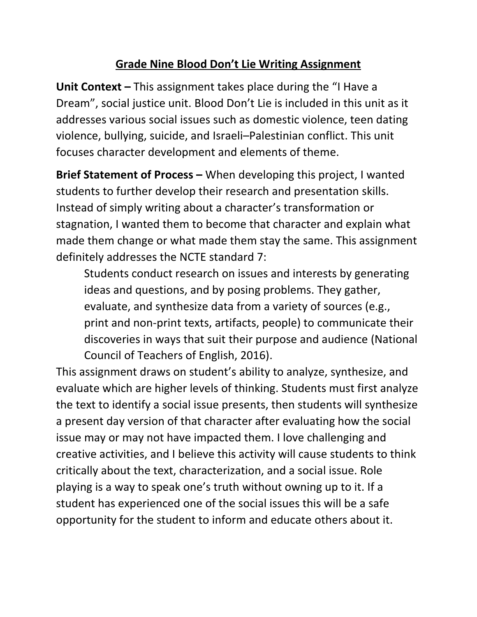## **Grade Nine Blood Don't Lie Writing Assignment**

**Unit Context –** This assignment takes place during the "I Have a Dream", social justice unit. Blood Don't Lie is included in this unit as it addresses various social issues such as domestic violence, teen dating violence, bullying, suicide, and Israeli–Palestinian conflict. This unit focuses character development and elements of theme.

**Brief Statement of Process –** When developing this project, I wanted students to further develop their research and presentation skills. Instead of simply writing about a character's transformation or stagnation, I wanted them to become that character and explain what made them change or what made them stay the same. This assignment definitely addresses the NCTE standard 7:

Students conduct research on issues and interests by generating ideas and questions, and by posing problems. They gather, evaluate, and synthesize data from a variety of sources (e.g., print and non-print texts, artifacts, people) to communicate their discoveries in ways that suit their purpose and audience (National Council of Teachers of English, 2016).

This assignment draws on student's ability to analyze, synthesize, and evaluate which are higher levels of thinking. Students must first analyze the text to identify a social issue presents, then students will synthesize a present day version of that character after evaluating how the social issue may or may not have impacted them. I love challenging and creative activities, and I believe this activity will cause students to think critically about the text, characterization, and a social issue. Role playing is a way to speak one's truth without owning up to it. If a student has experienced one of the social issues this will be a safe opportunity for the student to inform and educate others about it.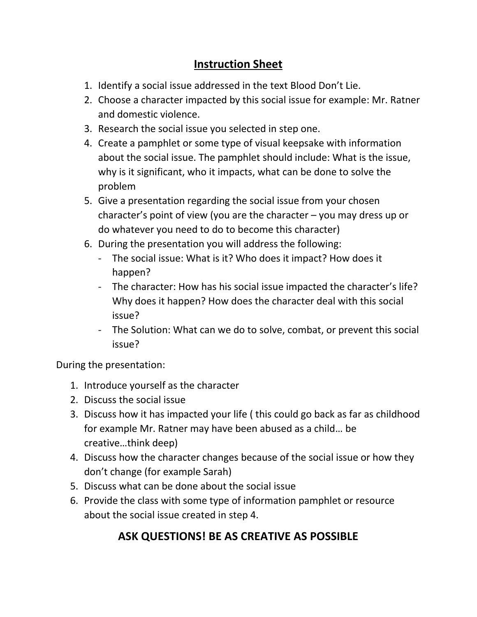# **Instruction Sheet**

- 1. Identify a social issue addressed in the text Blood Don't Lie.
- 2. Choose a character impacted by this social issue for example: Mr. Ratner and domestic violence.
- 3. Research the social issue you selected in step one.
- 4. Create a pamphlet or some type of visual keepsake with information about the social issue. The pamphlet should include: What is the issue, why is it significant, who it impacts, what can be done to solve the problem
- 5. Give a presentation regarding the social issue from your chosen character's point of view (you are the character – you may dress up or do whatever you need to do to become this character)
- 6. During the presentation you will address the following:
	- The social issue: What is it? Who does it impact? How does it happen?
	- The character: How has his social issue impacted the character's life? Why does it happen? How does the character deal with this social issue?
	- The Solution: What can we do to solve, combat, or prevent this social issue?

During the presentation:

- 1. Introduce yourself as the character
- 2. Discuss the social issue
- 3. Discuss how it has impacted your life ( this could go back as far as childhood for example Mr. Ratner may have been abused as a child… be creative…think deep)
- 4. Discuss how the character changes because of the social issue or how they don't change (for example Sarah)
- 5. Discuss what can be done about the social issue
- 6. Provide the class with some type of information pamphlet or resource about the social issue created in step 4.

# **ASK QUESTIONS! BE AS CREATIVE AS POSSIBLE**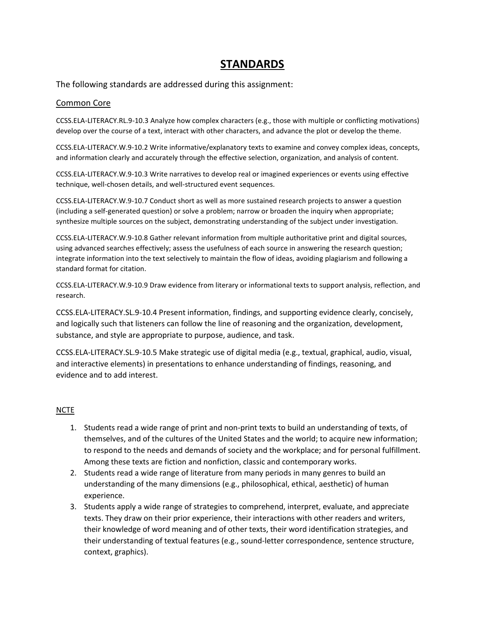### **STANDARDS**

The following standards are addressed during this assignment:

#### Common Core

CCSS.ELA-LITERACY.RL.9-10.3 Analyze how complex characters (e.g., those with multiple or conflicting motivations) develop over the course of a text, interact with other characters, and advance the plot or develop the theme.

CCSS.ELA-LITERACY.W.9-10.2 Write informative/explanatory texts to examine and convey complex ideas, concepts, and information clearly and accurately through the effective selection, organization, and analysis of content.

CCSS.ELA-LITERACY.W.9-10.3 Write narratives to develop real or imagined experiences or events using effective technique, well-chosen details, and well-structured event sequences.

CCSS.ELA-LITERACY.W.9-10.7 Conduct short as well as more sustained research projects to answer a question (including a self-generated question) or solve a problem; narrow or broaden the inquiry when appropriate; synthesize multiple sources on the subject, demonstrating understanding of the subject under investigation.

CCSS.ELA-LITERACY.W.9-10.8 Gather relevant information from multiple authoritative print and digital sources, using advanced searches effectively; assess the usefulness of each source in answering the research question; integrate information into the text selectively to maintain the flow of ideas, avoiding plagiarism and following a standard format for citation.

CCSS.ELA-LITERACY.W.9-10.9 Draw evidence from literary or informational texts to support analysis, reflection, and research.

CCSS.ELA-LITERACY.SL.9-10.4 Present information, findings, and supporting evidence clearly, concisely, and logically such that listeners can follow the line of reasoning and the organization, development, substance, and style are appropriate to purpose, audience, and task.

CCSS.ELA-LITERACY.SL.9-10.5 Make strategic use of digital media (e.g., textual, graphical, audio, visual, and interactive elements) in presentations to enhance understanding of findings, reasoning, and evidence and to add interest.

### **NCTE**

- 1. Students read a wide range of print and non-print texts to build an understanding of texts, of themselves, and of the cultures of the United States and the world; to acquire new information; to respond to the needs and demands of society and the workplace; and for personal fulfillment. Among these texts are fiction and nonfiction, classic and contemporary works.
- 2. Students read a wide range of literature from many periods in many genres to build an understanding of the many dimensions (e.g., philosophical, ethical, aesthetic) of human experience.
- 3. Students apply a wide range of strategies to comprehend, interpret, evaluate, and appreciate texts. They draw on their prior experience, their interactions with other readers and writers, their knowledge of word meaning and of other texts, their word identification strategies, and their understanding of textual features (e.g., sound-letter correspondence, sentence structure, context, graphics).